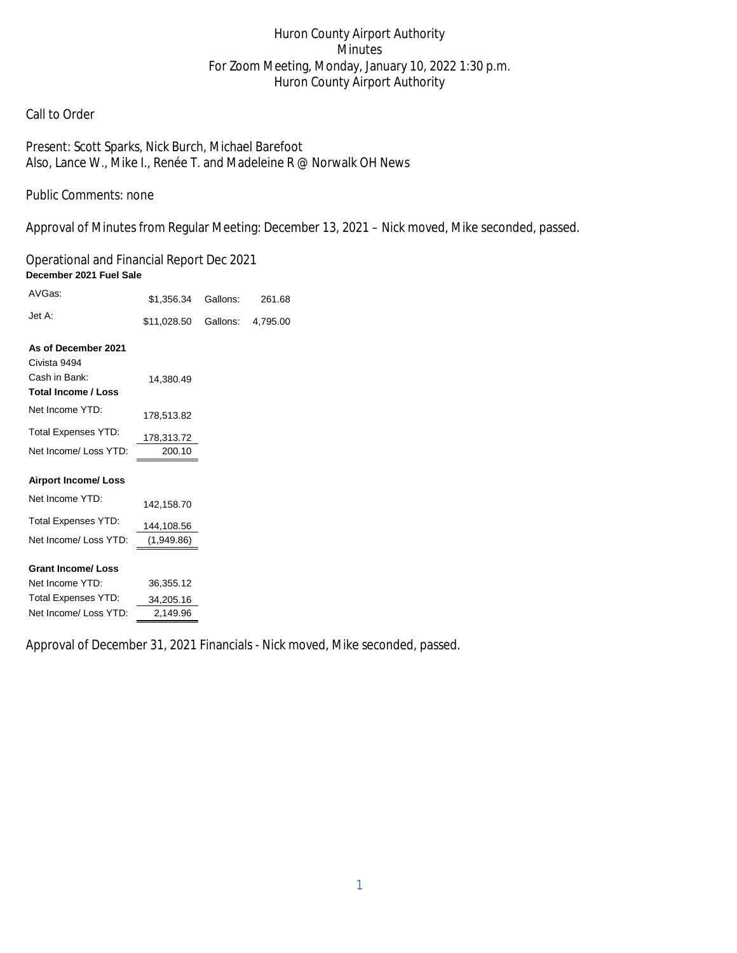# Huron County Airport Authority Minutes For Zoom Meeting, Monday, January 10, 2022 1:30 p.m. Huron County Airport Authority

## Call to Order

Present: Scott Sparks, Nick Burch, Michael Barefoot Also, Lance W., Mike I., Renée T. and Madeleine R @ Norwalk OH News

Public Comments: none

Approval of Minutes from Regular Meeting: December 13, 2021 – Nick moved, Mike seconded, passed.

Operational and Financial Report Dec 2021 **December 2021 Fuel Sale** 

| AVGas:                     | \$1,356.34  | Gallons: | 261.68   |
|----------------------------|-------------|----------|----------|
| Jet A:                     | \$11,028.50 | Gallons: | 4,795.00 |
| As of December 2021        |             |          |          |
| Civista 9494               |             |          |          |
| Cash in Bank:              | 14,380.49   |          |          |
| <b>Total Income / Loss</b> |             |          |          |
| Net Income YTD:            | 178,513.82  |          |          |
| <b>Total Expenses YTD:</b> | 178,313.72  |          |          |
| Net Income/ Loss YTD:      | 200.10      |          |          |
| <b>Airport Income/Loss</b> |             |          |          |
|                            |             |          |          |
| Net Income YTD:            | 142,158.70  |          |          |
| <b>Total Expenses YTD:</b> | 144,108.56  |          |          |
| Net Income/ Loss YTD:      | (1,949.86)  |          |          |
|                            |             |          |          |
| <b>Grant Income/ Loss</b>  |             |          |          |
| Net Income YTD:            | 36,355.12   |          |          |
| Total Expenses YTD:        | 34,205.16   |          |          |
| Net Income/ Loss YTD:      | 2.149.96    |          |          |

Approval of December 31, 2021 Financials - Nick moved, Mike seconded, passed.